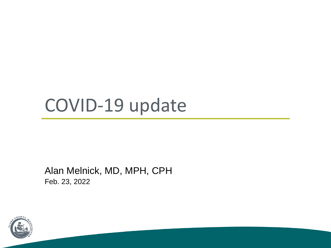# COVID-19 update

Alan Melnick, MD, MPH, CPH Feb. 23, 2022

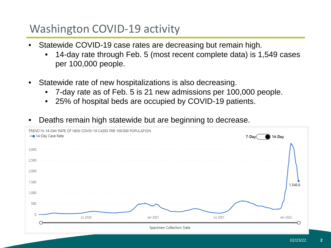#### Washington COVID-19 activity

- Statewide COVID-19 case rates are decreasing but remain high.
	- 14-day rate through Feb. 5 (most recent complete data) is 1,549 cases per 100,000 people.
- Statewide rate of new hospitalizations is also decreasing.
	- 7-day rate as of Feb. 5 is 21 new admissions per 100,000 people.
	- 25% of hospital beds are occupied by COVID-19 patients.
- Deaths remain high statewide but are beginning to decrease.

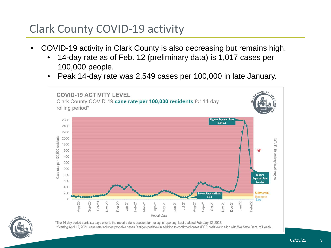## Clark County COVID-19 activity

- COVID-19 activity in Clark County is also decreasing but remains high.
	- 14-day rate as of Feb. 12 (preliminary data) is 1,017 cases per 100,000 people.
	- Peak 14-day rate was 2,549 cases per 100,000 in late January.





\*The 14-day period starts six days prior to the report date to account for the lag in reporting. Last updated February 12, 2022. \*\*Starting April 12, 2021, case rate includes probable cases (antigen positive) in addition to confirmed cases (PCR positive) to align with WA State Dept. of Health.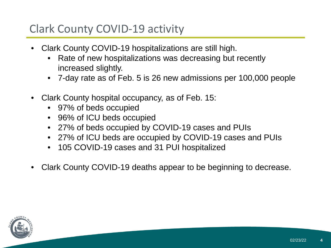## Clark County COVID-19 activity

- Clark County COVID-19 hospitalizations are still high.
	- Rate of new hospitalizations was decreasing but recently increased slightly.
	- 7-day rate as of Feb. 5 is 26 new admissions per 100,000 people
- Clark County hospital occupancy, as of Feb. 15:
	- 97% of beds occupied
	- 96% of ICU beds occupied
	- 27% of beds occupied by COVID-19 cases and PUIs
	- 27% of ICU beds are occupied by COVID-19 cases and PUIs
	- 105 COVID-19 cases and 31 PUI hospitalized
- Clark County COVID-19 deaths appear to be beginning to decrease.

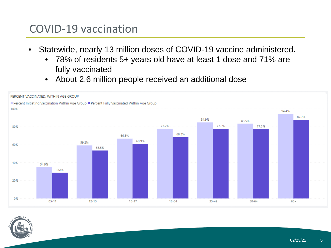#### COVID-19 vaccination

- Statewide, nearly 13 million doses of COVID-19 vaccine administered.
	- 78% of residents 5+ years old have at least 1 dose and 71% are fully vaccinated
	- About 2.6 million people received an additional dose



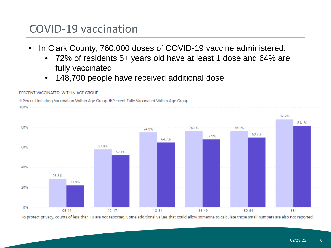#### COVID-19 vaccination

■ Percent Initiating Vaccination Within Age Group ● Percent Fully Vaccinated Within Age Group

PERCENT VACCINATED, WITHIN AGE GROUP

100%

- In Clark County, 760,000 doses of COVID-19 vaccine administered.
	- 72% of residents 5+ years old have at least 1 dose and 64% are fully vaccinated.
	- 148,700 people have received additional dose



To protect privacy, counts of less than 10 are not reported. Some additional values that could allow someone to calculate those small numbers are also not reported.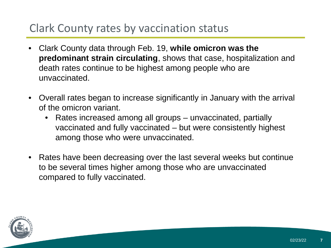#### Clark County rates by vaccination status

- Clark County data through Feb. 19, **while omicron was the predominant strain circulating**, shows that case, hospitalization and death rates continue to be highest among people who are unvaccinated.
- Overall rates began to increase significantly in January with the arrival of the omicron variant.
	- Rates increased among all groups unvaccinated, partially vaccinated and fully vaccinated – but were consistently highest among those who were unvaccinated.
- Rates have been decreasing over the last several weeks but continue to be several times higher among those who are unvaccinated compared to fully vaccinated.

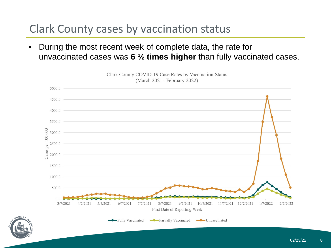# Clark County cases by vaccination status

• During the most recent week of complete data, the rate for unvaccinated cases was **6 ½ times higher** than fully vaccinated cases.



Clark County COVID-19 Case Rates by Vaccination Status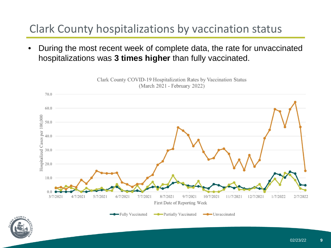# Clark County hospitalizations by vaccination status

• During the most recent week of complete data, the rate for unvaccinated hospitalizations was **3 times higher** than fully vaccinated.



Clark County COVID-19 Hospitalization Rates by Vaccination Status (March 2021 - February 2022)

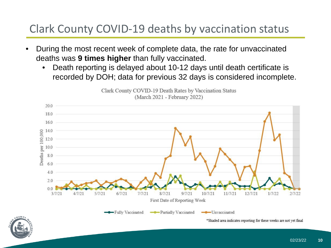# Clark County COVID-19 deaths by vaccination status

- During the most recent week of complete data, the rate for unvaccinated deaths was **9 times higher** than fully vaccinated.
	- Death reporting is delayed about 10-12 days until death certificate is recorded by DOH; data for previous 32 days is considered incomplete.

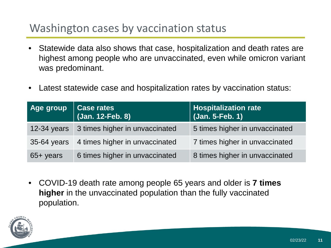### Washington cases by vaccination status

- Statewide data also shows that case, hospitalization and death rates are highest among people who are unvaccinated, even while omicron variant was predominant.
- Latest statewide case and hospitalization rates by vaccination status:

| Age group    | Case rates<br>(Jan. 12-Feb. 8)             | Hospitalization rate<br>(Jan. 5-Feb. 1) |
|--------------|--------------------------------------------|-----------------------------------------|
| 12-34 years  | 3 times higher in unvaccinated             | 5 times higher in unvaccinated          |
|              | 35-64 years 4 times higher in unvaccinated | 7 times higher in unvaccinated          |
| $65 +$ years | 6 times higher in unvaccinated             | 8 times higher in unvaccinated          |

• COVID-19 death rate among people 65 years and older is **7 times higher** in the unvaccinated population than the fully vaccinated population.

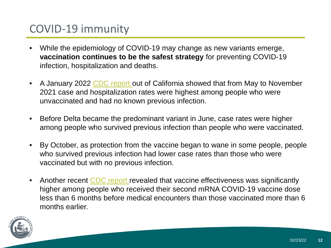### COVID-19 immunity

- While the epidemiology of COVID-19 may change as new variants emerge, **vaccination continues to be the safest strategy** for preventing COVID-19 infection, hospitalization and deaths.
- A January 2022 [CDC report o](https://www.cdc.gov/mmwr/volumes/71/wr/mm7104e1.htm?s_cid=mm7104e1_w)ut of California showed that from May to November 2021 case and hospitalization rates were highest among people who were unvaccinated and had no known previous infection.
- Before Delta became the predominant variant in June, case rates were higher among people who survived previous infection than people who were vaccinated.
- By October, as protection from the vaccine began to wane in some people, people who survived previous infection had lower case rates than those who were vaccinated but with no previous infection.
- Another recent [CDC report r](https://www.cdc.gov/mmwr/volumes/71/wr/mm7104e3.htm?s_cid=mm7104e3_w)evealed that vaccine effectiveness was significantly higher among people who received their second mRNA COVID-19 vaccine dose less than 6 months before medical encounters than those vaccinated more than 6 months earlier.

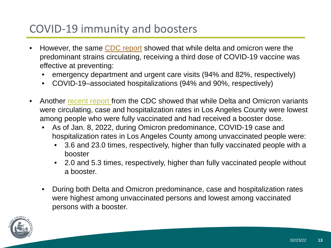#### COVID-19 immunity and boosters

- However, the same [CDC report](https://www.cdc.gov/mmwr/volumes/71/wr/mm7104e3.htm?s_cid=mm7104e3_w) showed that while delta and omicron were the predominant strains circulating, receiving a third dose of COVID-19 vaccine was effective at preventing:
	- emergency department and urgent care visits (94% and 82%, respectively)
	- COVID-19–associated hospitalizations (94% and 90%, respectively)
- Another [recent report f](https://www.cdc.gov/mmwr/volumes/71/wr/mm7105e1.htm?s_cid=mm7105e1_w)rom the CDC showed that while Delta and Omicron variants were circulating, case and hospitalization rates in Los Angeles County were lowest among people who were fully vaccinated and had received a booster dose.
	- As of Jan. 8, 2022, during Omicron predominance, COVID-19 case and hospitalization rates in Los Angeles County among unvaccinated people were:
		- 3.6 and 23.0 times, respectively, higher than fully vaccinated people with a booster
		- 2.0 and 5.3 times, respectively, higher than fully vaccinated people without a booster.
	- During both Delta and Omicron predominance, case and hospitalization rates were highest among unvaccinated persons and lowest among vaccinated persons with a booster.

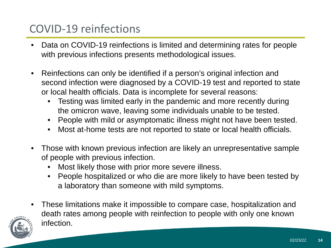# COVID-19 reinfections

- Data on COVID-19 reinfections is limited and determining rates for people with previous infections presents methodological issues.
- Reinfections can only be identified if a person's original infection and second infection were diagnosed by a COVID-19 test and reported to state or local health officials. Data is incomplete for several reasons:
	- Testing was limited early in the pandemic and more recently during the omicron wave, leaving some individuals unable to be tested.
	- People with mild or asymptomatic illness might not have been tested.
	- Most at-home tests are not reported to state or local health officials.
- Those with known previous infection are likely an unrepresentative sample of people with previous infection.
	- Most likely those with prior more severe illness.
	- People hospitalized or who die are more likely to have been tested by a laboratory than someone with mild symptoms.
- These limitations make it impossible to compare case, hospitalization and death rates among people with reinfection to people with only one known infection.



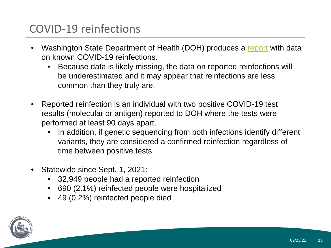# COVID-19 reinfections

- Washington State Department of Health (DOH) produces a [report](https://doh.wa.gov/sites/default/files/2022-02/421-024-ReportedReinfections.pdf) with data on known COVID-19 reinfections.
	- Because data is likely missing, the data on reported reinfections will be underestimated and it may appear that reinfections are less common than they truly are.
- Reported reinfection is an individual with two positive COVID-19 test results (molecular or antigen) reported to DOH where the tests were performed at least 90 days apart.
	- In addition, if genetic sequencing from both infections identify different variants, they are considered a confirmed reinfection regardless of time between positive tests.
- Statewide since Sept. 1, 2021:
	- 32,949 people had a reported reinfection
	- 690 (2.1%) reinfected people were hospitalized
	- 49 (0.2%) reinfected people died

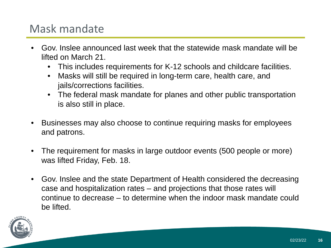## Mask mandate

- Gov. Inslee announced last week that the statewide mask mandate will be lifted on March 21.
	- This includes requirements for K-12 schools and childcare facilities.
	- Masks will still be required in long-term care, health care, and jails/corrections facilities.
	- The federal mask mandate for planes and other public transportation is also still in place.
- Businesses may also choose to continue requiring masks for employees and patrons.
- The requirement for masks in large outdoor events (500 people or more) was lifted Friday, Feb. 18.
- Gov. Inslee and the state Department of Health considered the decreasing case and hospitalization rates – and projections that those rates will continue to decrease – to determine when the indoor mask mandate could be lifted.

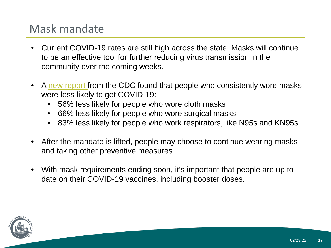### Mask mandate

- Current COVID-19 rates are still high across the state. Masks will continue to be an effective tool for further reducing virus transmission in the community over the coming weeks.
- A [new report f](https://www.cdc.gov/mmwr/volumes/71/wr/mm7106e1.htm)rom the CDC found that people who consistently wore masks were less likely to get COVID-19:
	- 56% less likely for people who wore cloth masks
	- 66% less likely for people who wore surgical masks
	- 83% less likely for people who work respirators, like N95s and KN95s
- After the mandate is lifted, people may choose to continue wearing masks and taking other preventive measures.
- With mask requirements ending soon, it's important that people are up to date on their COVID-19 vaccines, including booster doses.

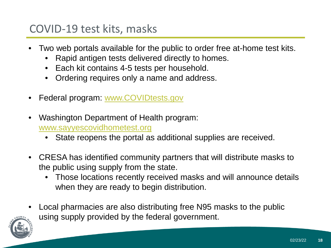## COVID-19 test kits, masks

- Two web portals available for the public to order free at-home test kits.
	- Rapid antigen tests delivered directly to homes.
	- Each kit contains 4-5 tests per household.
	- Ordering requires only a name and address.
- Federal program: [www.COVIDtests.gov](https://www.covidtests.gov/)
- Washington Department of Health program: [www.sayyescovidhometest.org](http://www.sayyescovidhometest.org/)
	- State reopens the portal as additional supplies are received.
- CRESA has identified community partners that will distribute masks to the public using supply from the state.
	- Those locations recently received masks and will announce details when they are ready to begin distribution.
- Local pharmacies are also distributing free N95 masks to the public using supply provided by the federal government.

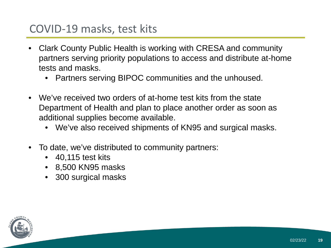### COVID-19 masks, test kits

- Clark County Public Health is working with CRESA and community partners serving priority populations to access and distribute at-home tests and masks.
	- Partners serving BIPOC communities and the unhoused.
- We've received two orders of at-home test kits from the state Department of Health and plan to place another order as soon as additional supplies become available.
	- We've also received shipments of KN95 and surgical masks.
- To date, we've distributed to community partners:
	- 40,115 test kits
	- 8,500 KN95 masks
	- 300 surgical masks